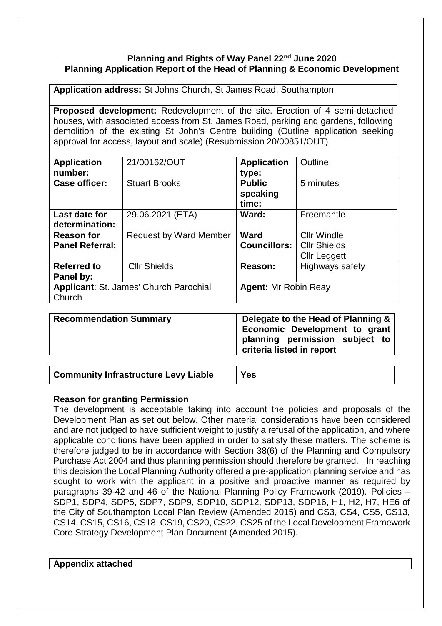# **Planning and Rights of Way Panel 22nd June 2020 Planning Application Report of the Head of Planning & Economic Development**

**Application address:** St Johns Church, St James Road, Southampton

**Proposed development:** Redevelopment of the site. Erection of 4 semi-detached houses, with associated access from St. James Road, parking and gardens, following demolition of the existing St John's Centre building (Outline application seeking approval for access, layout and scale) (Resubmission 20/00851/OUT)

| <b>Application</b><br>number:                    | 21/00162/OUT                  | <b>Application</b><br>type:        | Outline                                                          |
|--------------------------------------------------|-------------------------------|------------------------------------|------------------------------------------------------------------|
| <b>Case officer:</b>                             | <b>Stuart Brooks</b>          | <b>Public</b><br>speaking<br>time: | 5 minutes                                                        |
| Last date for<br>determination:                  | 29.06.2021 (ETA)              | Ward:                              | Freemantle                                                       |
| <b>Reason for</b><br><b>Panel Referral:</b>      | <b>Request by Ward Member</b> | Ward<br><b>Councillors:</b>        | <b>Cllr Windle</b><br><b>Cllr Shields</b><br><b>Cllr Leggett</b> |
| <b>Referred to</b><br>Panel by:                  | <b>Cllr Shields</b>           | Reason:                            | <b>Highways safety</b>                                           |
| Applicant: St. James' Church Parochial<br>Church |                               | <b>Agent: Mr Robin Reay</b>        |                                                                  |

| <b>Recommendation Summary</b> | Delegate to the Head of Planning &<br>Economic Development to grant<br>planning permission subject to<br>criteria listed in report |
|-------------------------------|------------------------------------------------------------------------------------------------------------------------------------|
|-------------------------------|------------------------------------------------------------------------------------------------------------------------------------|

| <b>Community Infrastructure Levy Liable</b> | <b>Yes</b> |
|---------------------------------------------|------------|
|---------------------------------------------|------------|

## **Reason for granting Permission**

The development is acceptable taking into account the policies and proposals of the Development Plan as set out below. Other material considerations have been considered and are not judged to have sufficient weight to justify a refusal of the application, and where applicable conditions have been applied in order to satisfy these matters. The scheme is therefore judged to be in accordance with Section 38(6) of the Planning and Compulsory Purchase Act 2004 and thus planning permission should therefore be granted. In reaching this decision the Local Planning Authority offered a pre-application planning service and has sought to work with the applicant in a positive and proactive manner as required by paragraphs 39-42 and 46 of the National Planning Policy Framework (2019). Policies – SDP1, SDP4, SDP5, SDP7, SDP9, SDP10, SDP12, SDP13, SDP16, H1, H2, H7, HE6 of the City of Southampton Local Plan Review (Amended 2015) and CS3, CS4, CS5, CS13, CS14, CS15, CS16, CS18, CS19, CS20, CS22, CS25 of the Local Development Framework Core Strategy Development Plan Document (Amended 2015).

## **Appendix attached**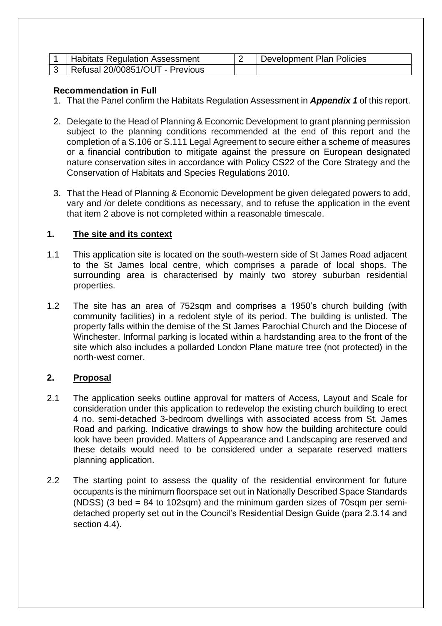| <b>Habitats Regulation Assessment</b> | Development Plan Policies |
|---------------------------------------|---------------------------|
| Refusal 20/00851/OUT - Previous       |                           |

# **Recommendation in Full**

- 1. That the Panel confirm the Habitats Regulation Assessment in *Appendix 1* of this report.
- 2. Delegate to the Head of Planning & Economic Development to grant planning permission subject to the planning conditions recommended at the end of this report and the completion of a S.106 or S.111 Legal Agreement to secure either a scheme of measures or a financial contribution to mitigate against the pressure on European designated nature conservation sites in accordance with Policy CS22 of the Core Strategy and the Conservation of Habitats and Species Regulations 2010.
- 3. That the Head of Planning & Economic Development be given delegated powers to add, vary and /or delete conditions as necessary, and to refuse the application in the event that item 2 above is not completed within a reasonable timescale.

# **1. The site and its context**

- 1.1 This application site is located on the south-western side of St James Road adjacent to the St James local centre, which comprises a parade of local shops. The surrounding area is characterised by mainly two storey suburban residential properties.
- 1.2 The site has an area of 752sqm and comprises a 1950's church building (with community facilities) in a redolent style of its period. The building is unlisted. The property falls within the demise of the St James Parochial Church and the Diocese of Winchester. Informal parking is located within a hardstanding area to the front of the site which also includes a pollarded London Plane mature tree (not protected) in the north-west corner.

# **2. Proposal**

- 2.1 The application seeks outline approval for matters of Access, Layout and Scale for consideration under this application to redevelop the existing church building to erect 4 no. semi-detached 3-bedroom dwellings with associated access from St. James Road and parking. Indicative drawings to show how the building architecture could look have been provided. Matters of Appearance and Landscaping are reserved and these details would need to be considered under a separate reserved matters planning application.
- 2.2 The starting point to assess the quality of the residential environment for future occupants is the minimum floorspace set out in Nationally Described Space Standards (NDSS) (3 bed = 84 to 102sqm) and the minimum garden sizes of 70sqm per semidetached property set out in the Council's Residential Design Guide (para 2.3.14 and section 4.4).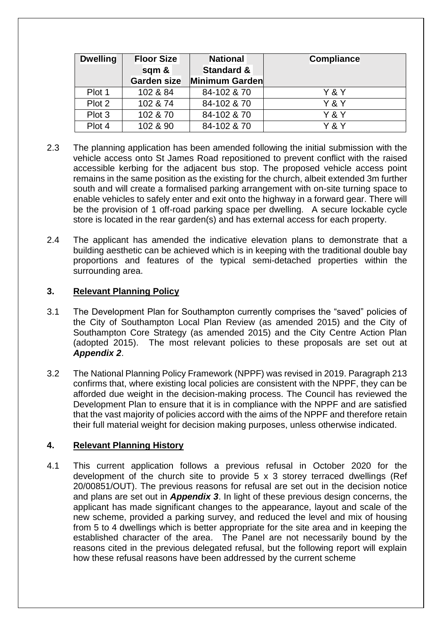| <b>Dwelling</b> | <b>Floor Size</b><br>sqm & | <b>National</b><br><b>Standard &amp;</b> | <b>Compliance</b> |
|-----------------|----------------------------|------------------------------------------|-------------------|
|                 | Garden size                | Minimum Garden                           |                   |
| Plot 1          | 102 & 84                   | 84-102 & 70                              | Y & Y             |
| Plot 2          | 102 & 74                   | 84-102 & 70                              | Y & Y             |
| Plot 3          | 102 & 70                   | 84-102 & 70                              | Y & Y             |
| Plot 4          | 102 & 90                   | 84-102 & 70                              | Y & Y             |

- 2.3 The planning application has been amended following the initial submission with the vehicle access onto St James Road repositioned to prevent conflict with the raised accessible kerbing for the adjacent bus stop. The proposed vehicle access point remains in the same position as the existing for the church, albeit extended 3m further south and will create a formalised parking arrangement with on-site turning space to enable vehicles to safely enter and exit onto the highway in a forward gear. There will be the provision of 1 off-road parking space per dwelling. A secure lockable cycle store is located in the rear garden(s) and has external access for each property.
- 2.4 The applicant has amended the indicative elevation plans to demonstrate that a building aesthetic can be achieved which is in keeping with the traditional double bay proportions and features of the typical semi-detached properties within the surrounding area.

# **3. Relevant Planning Policy**

- 3.1 The Development Plan for Southampton currently comprises the "saved" policies of the City of Southampton Local Plan Review (as amended 2015) and the City of Southampton Core Strategy (as amended 2015) and the City Centre Action Plan (adopted 2015). The most relevant policies to these proposals are set out at *Appendix 2*.
- 3.2 The National Planning Policy Framework (NPPF) was revised in 2019. Paragraph 213 confirms that, where existing local policies are consistent with the NPPF, they can be afforded due weight in the decision-making process. The Council has reviewed the Development Plan to ensure that it is in compliance with the NPPF and are satisfied that the vast majority of policies accord with the aims of the NPPF and therefore retain their full material weight for decision making purposes, unless otherwise indicated.

# **4. Relevant Planning History**

4.1 This current application follows a previous refusal in October 2020 for the development of the church site to provide 5 x 3 storey terraced dwellings (Ref 20/00851/OUT). The previous reasons for refusal are set out in the decision notice and plans are set out in *Appendix 3*. In light of these previous design concerns, the applicant has made significant changes to the appearance, layout and scale of the new scheme, provided a parking survey, and reduced the level and mix of housing from 5 to 4 dwellings which is better appropriate for the site area and in keeping the established character of the area. The Panel are not necessarily bound by the reasons cited in the previous delegated refusal, but the following report will explain how these refusal reasons have been addressed by the current scheme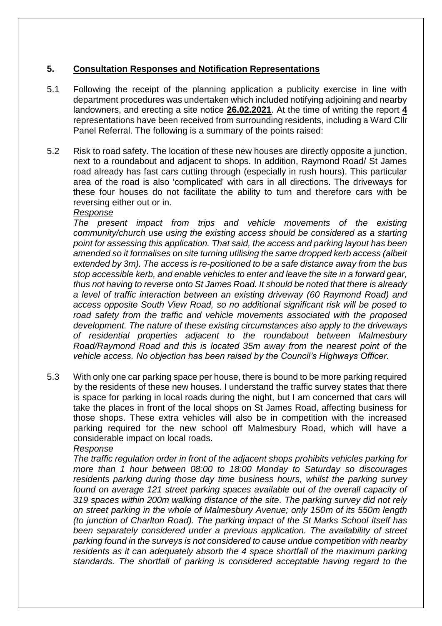# **5. Consultation Responses and Notification Representations**

- 5.1 Following the receipt of the planning application a publicity exercise in line with department procedures was undertaken which included notifying adjoining and nearby landowners, and erecting a site notice **26.02.2021**. At the time of writing the report **4** representations have been received from surrounding residents, including a Ward Cllr Panel Referral. The following is a summary of the points raised:
- 5.2 Risk to road safety. The location of these new houses are directly opposite a junction, next to a roundabout and adjacent to shops. In addition, Raymond Road/ St James road already has fast cars cutting through (especially in rush hours). This particular area of the road is also 'complicated' with cars in all directions. The driveways for these four houses do not facilitate the ability to turn and therefore cars with be reversing either out or in.

## *Response*

*The present impact from trips and vehicle movements of the existing community/church use using the existing access should be considered as a starting point for assessing this application. That said, the access and parking layout has been amended so it formalises on site turning utilising the same dropped kerb access (albeit extended by 3m). The access is re-positioned to be a safe distance away from the bus stop accessible kerb, and enable vehicles to enter and leave the site in a forward gear, thus not having to reverse onto St James Road. It should be noted that there is already a level of traffic interaction between an existing driveway (60 Raymond Road) and access opposite South View Road, so no additional significant risk will be posed to road safety from the traffic and vehicle movements associated with the proposed development. The nature of these existing circumstances also apply to the driveways of residential properties adjacent to the roundabout between Malmesbury Road/Raymond Road and this is located 35m away from the nearest point of the vehicle access. No objection has been raised by the Council's Highways Officer.* 

5.3 With only one car parking space per house, there is bound to be more parking required by the residents of these new houses. I understand the traffic survey states that there is space for parking in local roads during the night, but I am concerned that cars will take the places in front of the local shops on St James Road, affecting business for those shops. These extra vehicles will also be in competition with the increased parking required for the new school off Malmesbury Road, which will have a considerable impact on local roads.

### *Response*

*The traffic regulation order in front of the adjacent shops prohibits vehicles parking for more than 1 hour between 08:00 to 18:00 Monday to Saturday so discourages residents parking during those day time business hours, whilst the parking survey found on average 121 street parking spaces available out of the overall capacity of 319 spaces within 200m walking distance of the site. The parking survey did not rely on street parking in the whole of Malmesbury Avenue; only 150m of its 550m length (to junction of Charlton Road). The parking impact of the St Marks School itself has been separately considered under a previous application. The availability of street parking found in the surveys is not considered to cause undue competition with nearby residents as it can adequately absorb the 4 space shortfall of the maximum parking standards. The shortfall of parking is considered acceptable having regard to the*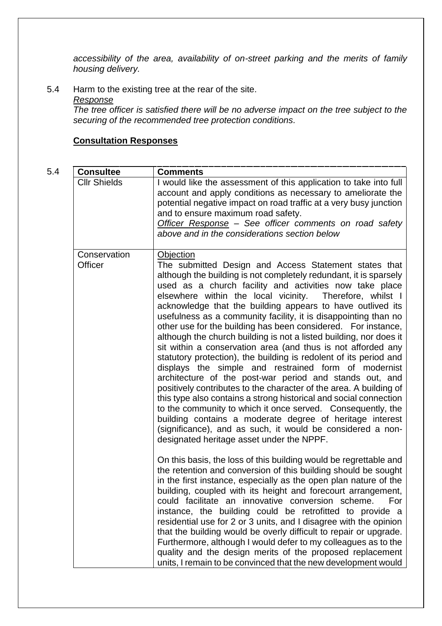*accessibility of the area, availability of on-street parking and the merits of family housing delivery.* 

5.4 Harm to the existing tree at the rear of the site.

# *Response*

*The tree officer is satisfied there will be no adverse impact on the tree subject to the securing of the recommended tree protection conditions.*

# **Consultation Responses**

| ٠<br>۰.           |  |
|-------------------|--|
| ×<br>I<br>×<br>۰. |  |

| 5.4 | <b>Consultee</b>        | <b>Comments</b>                                                                                                                                                                                                                                                                                                                                                                                                                                                                                                                                                                                                                                                                                                                                                                                                                                                                                                                                                                                                                                                                                                                                                                        |
|-----|-------------------------|----------------------------------------------------------------------------------------------------------------------------------------------------------------------------------------------------------------------------------------------------------------------------------------------------------------------------------------------------------------------------------------------------------------------------------------------------------------------------------------------------------------------------------------------------------------------------------------------------------------------------------------------------------------------------------------------------------------------------------------------------------------------------------------------------------------------------------------------------------------------------------------------------------------------------------------------------------------------------------------------------------------------------------------------------------------------------------------------------------------------------------------------------------------------------------------|
|     | <b>Cllr Shields</b>     | I would like the assessment of this application to take into full<br>account and apply conditions as necessary to ameliorate the<br>potential negative impact on road traffic at a very busy junction<br>and to ensure maximum road safety.<br>Officer Response - See officer comments on road safety<br>above and in the considerations section below                                                                                                                                                                                                                                                                                                                                                                                                                                                                                                                                                                                                                                                                                                                                                                                                                                 |
|     | Conservation<br>Officer | <b>Objection</b><br>The submitted Design and Access Statement states that<br>although the building is not completely redundant, it is sparsely<br>used as a church facility and activities now take place<br>elsewhere within the local vicinity. Therefore, whilst I<br>acknowledge that the building appears to have outlived its<br>usefulness as a community facility, it is disappointing than no<br>other use for the building has been considered. For instance,<br>although the church building is not a listed building, nor does it<br>sit within a conservation area (and thus is not afforded any<br>statutory protection), the building is redolent of its period and<br>displays the simple and restrained form of modernist<br>architecture of the post-war period and stands out, and<br>positively contributes to the character of the area. A building of<br>this type also contains a strong historical and social connection<br>to the community to which it once served. Consequently, the<br>building contains a moderate degree of heritage interest<br>(significance), and as such, it would be considered a non-<br>designated heritage asset under the NPPF. |
|     |                         | On this basis, the loss of this building would be regrettable and<br>the retention and conversion of this building should be sought<br>in the first instance, especially as the open plan nature of the<br>building, coupled with its height and forecourt arrangement,<br>could facilitate an innovative conversion scheme. For<br>instance, the building could be retrofitted to provide a<br>residential use for 2 or 3 units, and I disagree with the opinion<br>that the building would be overly difficult to repair or upgrade.<br>Furthermore, although I would defer to my colleagues as to the<br>quality and the design merits of the proposed replacement<br>units, I remain to be convinced that the new development would                                                                                                                                                                                                                                                                                                                                                                                                                                                |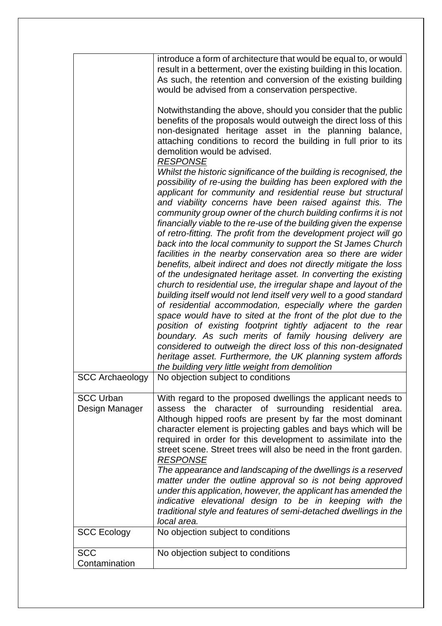|                                    | introduce a form of architecture that would be equal to, or would<br>result in a betterment, over the existing building in this location.<br>As such, the retention and conversion of the existing building<br>would be advised from a conservation perspective.                                                                                                                                                                                                                                                                                                                                                                                                                                                                                                                                                                                                                                                                                                                                                                                                                                                                                                                                                                                                                            |
|------------------------------------|---------------------------------------------------------------------------------------------------------------------------------------------------------------------------------------------------------------------------------------------------------------------------------------------------------------------------------------------------------------------------------------------------------------------------------------------------------------------------------------------------------------------------------------------------------------------------------------------------------------------------------------------------------------------------------------------------------------------------------------------------------------------------------------------------------------------------------------------------------------------------------------------------------------------------------------------------------------------------------------------------------------------------------------------------------------------------------------------------------------------------------------------------------------------------------------------------------------------------------------------------------------------------------------------|
|                                    | Notwithstanding the above, should you consider that the public<br>benefits of the proposals would outweigh the direct loss of this<br>non-designated heritage asset in the planning balance,<br>attaching conditions to record the building in full prior to its<br>demolition would be advised.<br><b>RESPONSE</b>                                                                                                                                                                                                                                                                                                                                                                                                                                                                                                                                                                                                                                                                                                                                                                                                                                                                                                                                                                         |
|                                    | Whilst the historic significance of the building is recognised, the<br>possibility of re-using the building has been explored with the<br>applicant for community and residential reuse but structural<br>and viability concerns have been raised against this. The<br>community group owner of the church building confirms it is not<br>financially viable to the re-use of the building given the expense<br>of retro-fitting. The profit from the development project will go<br>back into the local community to support the St James Church<br>facilities in the nearby conservation area so there are wider<br>benefits, albeit indirect and does not directly mitigate the loss<br>of the undesignated heritage asset. In converting the existing<br>church to residential use, the irregular shape and layout of the<br>building itself would not lend itself very well to a good standard<br>of residential accommodation, especially where the garden<br>space would have to sited at the front of the plot due to the<br>position of existing footprint tightly adjacent to the rear<br>boundary. As such merits of family housing delivery are<br>considered to outweigh the direct loss of this non-designated<br>heritage asset. Furthermore, the UK planning system affords |
| <b>SCC Archaeology</b>             | the building very little weight from demolition<br>No objection subject to conditions                                                                                                                                                                                                                                                                                                                                                                                                                                                                                                                                                                                                                                                                                                                                                                                                                                                                                                                                                                                                                                                                                                                                                                                                       |
| <b>SCC Urban</b><br>Design Manager | With regard to the proposed dwellings the applicant needs to<br>the character of surrounding residential<br>assess<br>area.<br>Although hipped roofs are present by far the most dominant<br>character element is projecting gables and bays which will be<br>required in order for this development to assimilate into the<br>street scene. Street trees will also be need in the front garden.<br><b>RESPONSE</b><br>The appearance and landscaping of the dwellings is a reserved<br>matter under the outline approval so is not being approved                                                                                                                                                                                                                                                                                                                                                                                                                                                                                                                                                                                                                                                                                                                                          |
|                                    | under this application, however, the applicant has amended the<br>indicative elevational design to be in keeping with the<br>traditional style and features of semi-detached dwellings in the<br>local area.                                                                                                                                                                                                                                                                                                                                                                                                                                                                                                                                                                                                                                                                                                                                                                                                                                                                                                                                                                                                                                                                                |
| <b>SCC Ecology</b>                 | No objection subject to conditions                                                                                                                                                                                                                                                                                                                                                                                                                                                                                                                                                                                                                                                                                                                                                                                                                                                                                                                                                                                                                                                                                                                                                                                                                                                          |
| <b>SCC</b><br>Contamination        | No objection subject to conditions                                                                                                                                                                                                                                                                                                                                                                                                                                                                                                                                                                                                                                                                                                                                                                                                                                                                                                                                                                                                                                                                                                                                                                                                                                                          |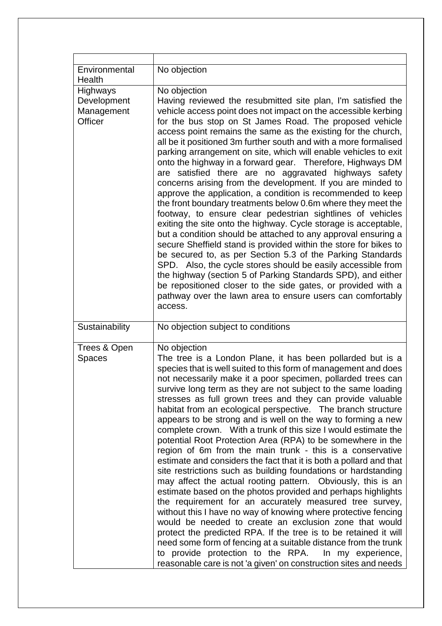| Environmental<br>Health                          | No objection                                                                                                                                                                                                                                                                                                                                                                                                                                                                                                                                                                                                                                                                                                                                                                                                                                                                                                                                                                                                                                                                                                                                                                                                                                                                                                                                                                                                |
|--------------------------------------------------|-------------------------------------------------------------------------------------------------------------------------------------------------------------------------------------------------------------------------------------------------------------------------------------------------------------------------------------------------------------------------------------------------------------------------------------------------------------------------------------------------------------------------------------------------------------------------------------------------------------------------------------------------------------------------------------------------------------------------------------------------------------------------------------------------------------------------------------------------------------------------------------------------------------------------------------------------------------------------------------------------------------------------------------------------------------------------------------------------------------------------------------------------------------------------------------------------------------------------------------------------------------------------------------------------------------------------------------------------------------------------------------------------------------|
| Highways<br>Development<br>Management<br>Officer | No objection<br>Having reviewed the resubmitted site plan, I'm satisfied the<br>vehicle access point does not impact on the accessible kerbing<br>for the bus stop on St James Road. The proposed vehicle<br>access point remains the same as the existing for the church,<br>all be it positioned 3m further south and with a more formalised<br>parking arrangement on site, which will enable vehicles to exit<br>onto the highway in a forward gear. Therefore, Highways DM<br>are satisfied there are no aggravated highways safety<br>concerns arising from the development. If you are minded to<br>approve the application, a condition is recommended to keep<br>the front boundary treatments below 0.6m where they meet the<br>footway, to ensure clear pedestrian sightlines of vehicles<br>exiting the site onto the highway. Cycle storage is acceptable,<br>but a condition should be attached to any approval ensuring a<br>secure Sheffield stand is provided within the store for bikes to<br>be secured to, as per Section 5.3 of the Parking Standards<br>SPD. Also, the cycle stores should be easily accessible from<br>the highway (section 5 of Parking Standards SPD), and either<br>be repositioned closer to the side gates, or provided with a<br>pathway over the lawn area to ensure users can comfortably<br>access.                                                         |
| Sustainability                                   | No objection subject to conditions                                                                                                                                                                                                                                                                                                                                                                                                                                                                                                                                                                                                                                                                                                                                                                                                                                                                                                                                                                                                                                                                                                                                                                                                                                                                                                                                                                          |
| Trees & Open<br><b>Spaces</b>                    | No objection<br>The tree is a London Plane, it has been pollarded but is a<br>species that is well suited to this form of management and does<br>not necessarily make it a poor specimen, pollarded trees can<br>survive long term as they are not subject to the same loading<br>stresses as full grown trees and they can provide valuable<br>habitat from an ecological perspective. The branch structure<br>appears to be strong and is well on the way to forming a new<br>complete crown. With a trunk of this size I would estimate the<br>potential Root Protection Area (RPA) to be somewhere in the<br>region of 6m from the main trunk - this is a conservative<br>estimate and considers the fact that it is both a pollard and that<br>site restrictions such as building foundations or hardstanding<br>may affect the actual rooting pattern. Obviously, this is an<br>estimate based on the photos provided and perhaps highlights<br>the requirement for an accurately measured tree survey,<br>without this I have no way of knowing where protective fencing<br>would be needed to create an exclusion zone that would<br>protect the predicted RPA. If the tree is to be retained it will<br>need some form of fencing at a suitable distance from the trunk<br>to provide protection to the RPA. In my experience,<br>reasonable care is not 'a given' on construction sites and needs |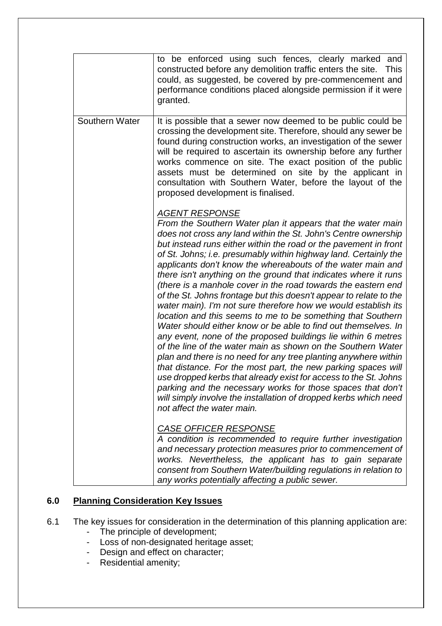|                | to be enforced using such fences, clearly marked<br>and<br>constructed before any demolition traffic enters the site.<br><b>This</b><br>could, as suggested, be covered by pre-commencement and<br>performance conditions placed alongside permission if it were<br>granted.                                                                                                                                                                                                                                                                                                                                                                                                                                                                                                                                                                                                                                                                                                                                                                                                                                                                                                                                                                                                                                                                                                                                                                      |
|----------------|---------------------------------------------------------------------------------------------------------------------------------------------------------------------------------------------------------------------------------------------------------------------------------------------------------------------------------------------------------------------------------------------------------------------------------------------------------------------------------------------------------------------------------------------------------------------------------------------------------------------------------------------------------------------------------------------------------------------------------------------------------------------------------------------------------------------------------------------------------------------------------------------------------------------------------------------------------------------------------------------------------------------------------------------------------------------------------------------------------------------------------------------------------------------------------------------------------------------------------------------------------------------------------------------------------------------------------------------------------------------------------------------------------------------------------------------------|
| Southern Water | It is possible that a sewer now deemed to be public could be<br>crossing the development site. Therefore, should any sewer be<br>found during construction works, an investigation of the sewer<br>will be required to ascertain its ownership before any further<br>works commence on site. The exact position of the public<br>assets must be determined on site by the applicant in<br>consultation with Southern Water, before the layout of the<br>proposed development is finalised.                                                                                                                                                                                                                                                                                                                                                                                                                                                                                                                                                                                                                                                                                                                                                                                                                                                                                                                                                        |
|                | <b>AGENT RESPONSE</b><br>From the Southern Water plan it appears that the water main<br>does not cross any land within the St. John's Centre ownership<br>but instead runs either within the road or the pavement in front<br>of St. Johns; i.e. presumably within highway land. Certainly the<br>applicants don't know the whereabouts of the water main and<br>there isn't anything on the ground that indicates where it runs<br>(there is a manhole cover in the road towards the eastern end<br>of the St. Johns frontage but this doesn't appear to relate to the<br>water main). I'm not sure therefore how we would establish its<br>location and this seems to me to be something that Southern<br>Water should either know or be able to find out themselves. In<br>any event, none of the proposed buildings lie within 6 metres<br>of the line of the water main as shown on the Southern Water<br>plan and there is no need for any tree planting anywhere within<br>that distance. For the most part, the new parking spaces will<br>use dropped kerbs that already exist for access to the St. Johns<br>parking and the necessary works for those spaces that don't<br>will simply involve the installation of dropped kerbs which need<br>not affect the water main.<br><b>CASE OFFICER RESPONSE</b><br>A condition is recommended to require further investigation<br>and necessary protection measures prior to commencement of |
|                | works. Nevertheless, the applicant has to gain separate<br>consent from Southern Water/building regulations in relation to<br>any works potentially affecting a public sewer.                                                                                                                                                                                                                                                                                                                                                                                                                                                                                                                                                                                                                                                                                                                                                                                                                                                                                                                                                                                                                                                                                                                                                                                                                                                                     |

# **6.0 Planning Consideration Key Issues**

- 6.1 The key issues for consideration in the determination of this planning application are:
	- The principle of development;
	- Loss of non-designated heritage asset;
	- Design and effect on character;
	- Residential amenity;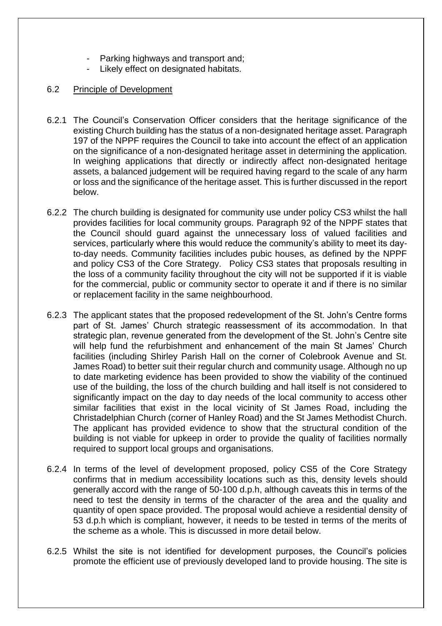- Parking highways and transport and;
- Likely effect on designated habitats.
- 6.2 Principle of Development
- 6.2.1 The Council's Conservation Officer considers that the heritage significance of the existing Church building has the status of a non-designated heritage asset. Paragraph 197 of the NPPF requires the Council to take into account the effect of an application on the significance of a non-designated heritage asset in determining the application. In weighing applications that directly or indirectly affect non-designated heritage assets, a balanced judgement will be required having regard to the scale of any harm or loss and the significance of the heritage asset. This is further discussed in the report below.
- 6.2.2 The church building is designated for community use under policy CS3 whilst the hall provides facilities for local community groups. Paragraph 92 of the NPPF states that the Council should guard against the unnecessary loss of valued facilities and services, particularly where this would reduce the community's ability to meet its dayto-day needs. Community facilities includes pubic houses, as defined by the NPPF and policy CS3 of the Core Strategy. Policy CS3 states that proposals resulting in the loss of a community facility throughout the city will not be supported if it is viable for the commercial, public or community sector to operate it and if there is no similar or replacement facility in the same neighbourhood.
- 6.2.3 The applicant states that the proposed redevelopment of the St. John's Centre forms part of St. James' Church strategic reassessment of its accommodation. In that strategic plan, revenue generated from the development of the St. John's Centre site will help fund the refurbishment and enhancement of the main St James' Church facilities (including Shirley Parish Hall on the corner of Colebrook Avenue and St. James Road) to better suit their regular church and community usage. Although no up to date marketing evidence has been provided to show the viability of the continued use of the building, the loss of the church building and hall itself is not considered to significantly impact on the day to day needs of the local community to access other similar facilities that exist in the local vicinity of St James Road, including the Christadelphian Church (corner of Hanley Road) and the St James Methodist Church. The applicant has provided evidence to show that the structural condition of the building is not viable for upkeep in order to provide the quality of facilities normally required to support local groups and organisations.
- 6.2.4 In terms of the level of development proposed, policy CS5 of the Core Strategy confirms that in medium accessibility locations such as this, density levels should generally accord with the range of 50-100 d.p.h, although caveats this in terms of the need to test the density in terms of the character of the area and the quality and quantity of open space provided. The proposal would achieve a residential density of 53 d.p.h which is compliant, however, it needs to be tested in terms of the merits of the scheme as a whole. This is discussed in more detail below.
- 6.2.5 Whilst the site is not identified for development purposes, the Council's policies promote the efficient use of previously developed land to provide housing. The site is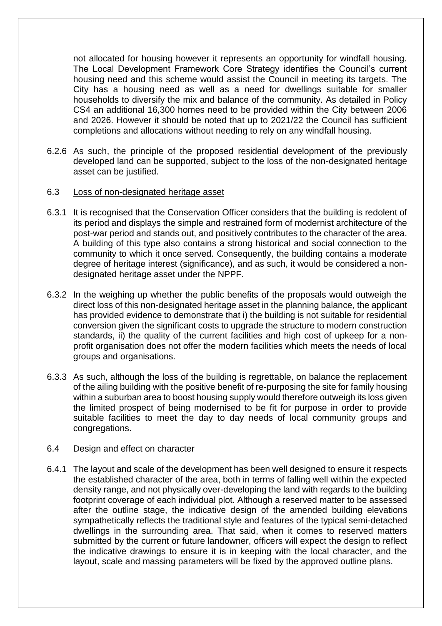not allocated for housing however it represents an opportunity for windfall housing. The Local Development Framework Core Strategy identifies the Council's current housing need and this scheme would assist the Council in meeting its targets. The City has a housing need as well as a need for dwellings suitable for smaller households to diversify the mix and balance of the community. As detailed in Policy CS4 an additional 16,300 homes need to be provided within the City between 2006 and 2026. However it should be noted that up to 2021/22 the Council has sufficient completions and allocations without needing to rely on any windfall housing.

6.2.6 As such, the principle of the proposed residential development of the previously developed land can be supported, subject to the loss of the non-designated heritage asset can be justified.

### 6.3 Loss of non-designated heritage asset

- 6.3.1 It is recognised that the Conservation Officer considers that the building is redolent of its period and displays the simple and restrained form of modernist architecture of the post-war period and stands out, and positively contributes to the character of the area. A building of this type also contains a strong historical and social connection to the community to which it once served. Consequently, the building contains a moderate degree of heritage interest (significance), and as such, it would be considered a nondesignated heritage asset under the NPPF.
- 6.3.2 In the weighing up whether the public benefits of the proposals would outweigh the direct loss of this non-designated heritage asset in the planning balance, the applicant has provided evidence to demonstrate that i) the building is not suitable for residential conversion given the significant costs to upgrade the structure to modern construction standards, ii) the quality of the current facilities and high cost of upkeep for a nonprofit organisation does not offer the modern facilities which meets the needs of local groups and organisations.
- 6.3.3 As such, although the loss of the building is regrettable, on balance the replacement of the ailing building with the positive benefit of re-purposing the site for family housing within a suburban area to boost housing supply would therefore outweigh its loss given the limited prospect of being modernised to be fit for purpose in order to provide suitable facilities to meet the day to day needs of local community groups and congregations.

### 6.4 Design and effect on character

6.4.1 The layout and scale of the development has been well designed to ensure it respects the established character of the area, both in terms of falling well within the expected density range, and not physically over-developing the land with regards to the building footprint coverage of each individual plot. Although a reserved matter to be assessed after the outline stage, the indicative design of the amended building elevations sympathetically reflects the traditional style and features of the typical semi-detached dwellings in the surrounding area. That said, when it comes to reserved matters submitted by the current or future landowner, officers will expect the design to reflect the indicative drawings to ensure it is in keeping with the local character, and the layout, scale and massing parameters will be fixed by the approved outline plans.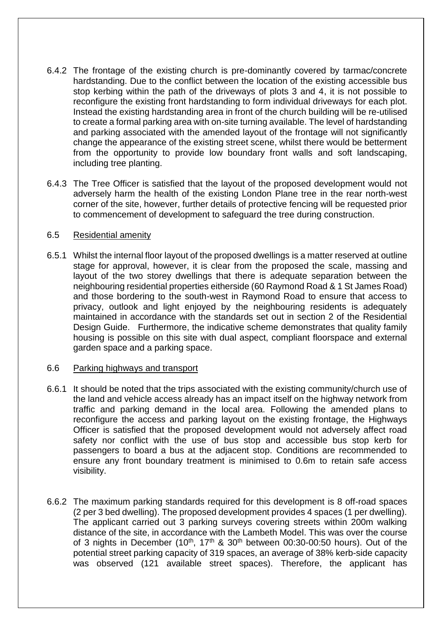- 6.4.2 The frontage of the existing church is pre-dominantly covered by tarmac/concrete hardstanding. Due to the conflict between the location of the existing accessible bus stop kerbing within the path of the driveways of plots 3 and 4, it is not possible to reconfigure the existing front hardstanding to form individual driveways for each plot. Instead the existing hardstanding area in front of the church building will be re-utilised to create a formal parking area with on-site turning available. The level of hardstanding and parking associated with the amended layout of the frontage will not significantly change the appearance of the existing street scene, whilst there would be betterment from the opportunity to provide low boundary front walls and soft landscaping, including tree planting.
- 6.4.3 The Tree Officer is satisfied that the layout of the proposed development would not adversely harm the health of the existing London Plane tree in the rear north-west corner of the site, however, further details of protective fencing will be requested prior to commencement of development to safeguard the tree during construction.

## 6.5 Residential amenity

6.5.1 Whilst the internal floor layout of the proposed dwellings is a matter reserved at outline stage for approval, however, it is clear from the proposed the scale, massing and layout of the two storey dwellings that there is adequate separation between the neighbouring residential properties eitherside (60 Raymond Road & 1 St James Road) and those bordering to the south-west in Raymond Road to ensure that access to privacy, outlook and light enjoyed by the neighbouring residents is adequately maintained in accordance with the standards set out in section 2 of the Residential Design Guide. Furthermore, the indicative scheme demonstrates that quality family housing is possible on this site with dual aspect, compliant floorspace and external garden space and a parking space.

## 6.6 Parking highways and transport

- 6.6.1 It should be noted that the trips associated with the existing community/church use of the land and vehicle access already has an impact itself on the highway network from traffic and parking demand in the local area. Following the amended plans to reconfigure the access and parking layout on the existing frontage, the Highways Officer is satisfied that the proposed development would not adversely affect road safety nor conflict with the use of bus stop and accessible bus stop kerb for passengers to board a bus at the adjacent stop. Conditions are recommended to ensure any front boundary treatment is minimised to 0.6m to retain safe access visibility.
- 6.6.2 The maximum parking standards required for this development is 8 off-road spaces (2 per 3 bed dwelling). The proposed development provides 4 spaces (1 per dwelling). The applicant carried out 3 parking surveys covering streets within 200m walking distance of the site, in accordance with the Lambeth Model. This was over the course of 3 nights in December (10<sup>th</sup>, 17<sup>th</sup> & 30<sup>th</sup> between 00:30-00:50 hours). Out of the potential street parking capacity of 319 spaces, an average of 38% kerb-side capacity was observed (121 available street spaces). Therefore, the applicant has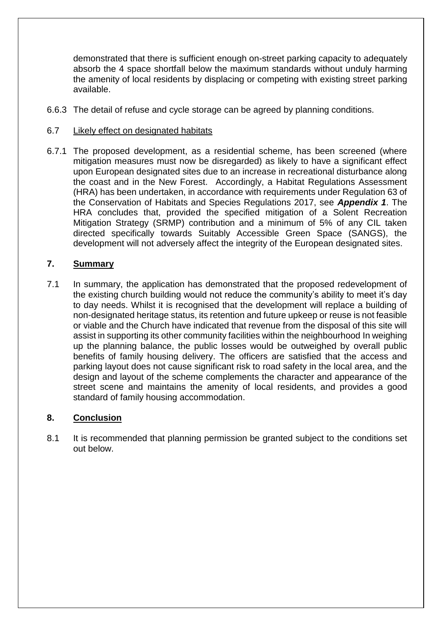demonstrated that there is sufficient enough on-street parking capacity to adequately absorb the 4 space shortfall below the maximum standards without unduly harming the amenity of local residents by displacing or competing with existing street parking available.

- 6.6.3 The detail of refuse and cycle storage can be agreed by planning conditions.
- 6.7 Likely effect on designated habitats
- 6.7.1 The proposed development, as a residential scheme, has been screened (where mitigation measures must now be disregarded) as likely to have a significant effect upon European designated sites due to an increase in recreational disturbance along the coast and in the New Forest. Accordingly, a Habitat Regulations Assessment (HRA) has been undertaken, in accordance with requirements under Regulation 63 of the Conservation of Habitats and Species Regulations 2017, see *Appendix 1*. The HRA concludes that, provided the specified mitigation of a Solent Recreation Mitigation Strategy (SRMP) contribution and a minimum of 5% of any CIL taken directed specifically towards Suitably Accessible Green Space (SANGS), the development will not adversely affect the integrity of the European designated sites.

# **7. Summary**

7.1 In summary, the application has demonstrated that the proposed redevelopment of the existing church building would not reduce the community's ability to meet it's day to day needs. Whilst it is recognised that the development will replace a building of non-designated heritage status, its retention and future upkeep or reuse is not feasible or viable and the Church have indicated that revenue from the disposal of this site will assist in supporting its other community facilities within the neighbourhood In weighing up the planning balance, the public losses would be outweighed by overall public benefits of family housing delivery. The officers are satisfied that the access and parking layout does not cause significant risk to road safety in the local area, and the design and layout of the scheme complements the character and appearance of the street scene and maintains the amenity of local residents, and provides a good standard of family housing accommodation.

# **8. Conclusion**

8.1 It is recommended that planning permission be granted subject to the conditions set out below.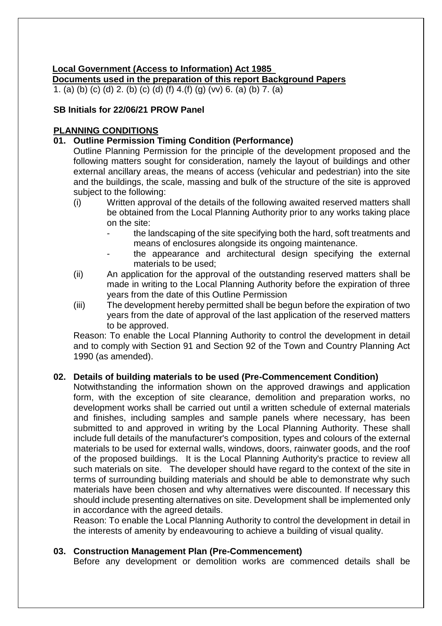# **Local Government (Access to Information) Act 1985**

**Documents used in the preparation of this report Background Papers**

1. (a) (b) (c) (d) 2. (b) (c) (d) (f) 4.(f) (g) (vv) 6. (a) (b) 7. (a)

# **SB Initials for 22/06/21 PROW Panel**

# **PLANNING CONDITIONS**

# **01. Outline Permission Timing Condition (Performance)**

Outline Planning Permission for the principle of the development proposed and the following matters sought for consideration, namely the layout of buildings and other external ancillary areas, the means of access (vehicular and pedestrian) into the site and the buildings, the scale, massing and bulk of the structure of the site is approved subject to the following:

- (i) Written approval of the details of the following awaited reserved matters shall be obtained from the Local Planning Authority prior to any works taking place on the site:
	- the landscaping of the site specifying both the hard, soft treatments and means of enclosures alongside its ongoing maintenance.
	- the appearance and architectural design specifying the external materials to be used;
- (ii) An application for the approval of the outstanding reserved matters shall be made in writing to the Local Planning Authority before the expiration of three years from the date of this Outline Permission
- (iii) The development hereby permitted shall be begun before the expiration of two years from the date of approval of the last application of the reserved matters to be approved.

Reason: To enable the Local Planning Authority to control the development in detail and to comply with Section 91 and Section 92 of the Town and Country Planning Act 1990 (as amended).

## **02. Details of building materials to be used (Pre-Commencement Condition)**

Notwithstanding the information shown on the approved drawings and application form, with the exception of site clearance, demolition and preparation works, no development works shall be carried out until a written schedule of external materials and finishes, including samples and sample panels where necessary, has been submitted to and approved in writing by the Local Planning Authority. These shall include full details of the manufacturer's composition, types and colours of the external materials to be used for external walls, windows, doors, rainwater goods, and the roof of the proposed buildings. It is the Local Planning Authority's practice to review all such materials on site. The developer should have regard to the context of the site in terms of surrounding building materials and should be able to demonstrate why such materials have been chosen and why alternatives were discounted. If necessary this should include presenting alternatives on site. Development shall be implemented only in accordance with the agreed details.

Reason: To enable the Local Planning Authority to control the development in detail in the interests of amenity by endeavouring to achieve a building of visual quality.

## **03. Construction Management Plan (Pre-Commencement)**

Before any development or demolition works are commenced details shall be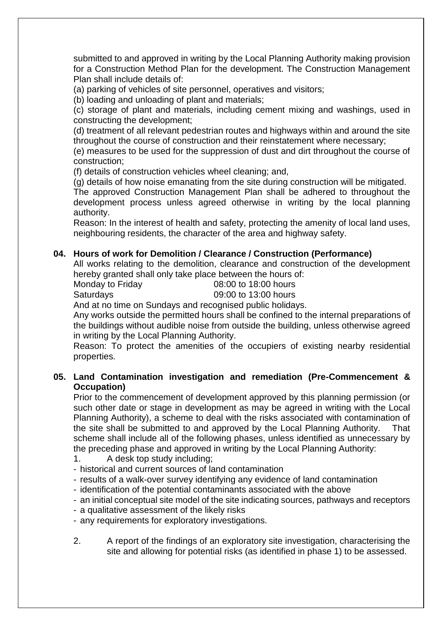submitted to and approved in writing by the Local Planning Authority making provision for a Construction Method Plan for the development. The Construction Management Plan shall include details of:

(a) parking of vehicles of site personnel, operatives and visitors;

(b) loading and unloading of plant and materials;

(c) storage of plant and materials, including cement mixing and washings, used in constructing the development;

(d) treatment of all relevant pedestrian routes and highways within and around the site throughout the course of construction and their reinstatement where necessary;

(e) measures to be used for the suppression of dust and dirt throughout the course of construction;

(f) details of construction vehicles wheel cleaning; and,

(g) details of how noise emanating from the site during construction will be mitigated. The approved Construction Management Plan shall be adhered to throughout the development process unless agreed otherwise in writing by the local planning authority.

Reason: In the interest of health and safety, protecting the amenity of local land uses, neighbouring residents, the character of the area and highway safety.

## **04. Hours of work for Demolition / Clearance / Construction (Performance)**

All works relating to the demolition, clearance and construction of the development hereby granted shall only take place between the hours of:

Monday to Friday 68:00 to 18:00 hours

Saturdays 09:00 to 13:00 hours

And at no time on Sundays and recognised public holidays.

Any works outside the permitted hours shall be confined to the internal preparations of the buildings without audible noise from outside the building, unless otherwise agreed in writing by the Local Planning Authority.

Reason: To protect the amenities of the occupiers of existing nearby residential properties.

# **05. Land Contamination investigation and remediation (Pre-Commencement & Occupation)**

Prior to the commencement of development approved by this planning permission (or such other date or stage in development as may be agreed in writing with the Local Planning Authority), a scheme to deal with the risks associated with contamination of the site shall be submitted to and approved by the Local Planning Authority. That scheme shall include all of the following phases, unless identified as unnecessary by the preceding phase and approved in writing by the Local Planning Authority:

- 1. A desk top study including;
- historical and current sources of land contamination
- results of a walk-over survey identifying any evidence of land contamination
- identification of the potential contaminants associated with the above
- an initial conceptual site model of the site indicating sources, pathways and receptors
- a qualitative assessment of the likely risks
- any requirements for exploratory investigations.
- 2. A report of the findings of an exploratory site investigation, characterising the site and allowing for potential risks (as identified in phase 1) to be assessed.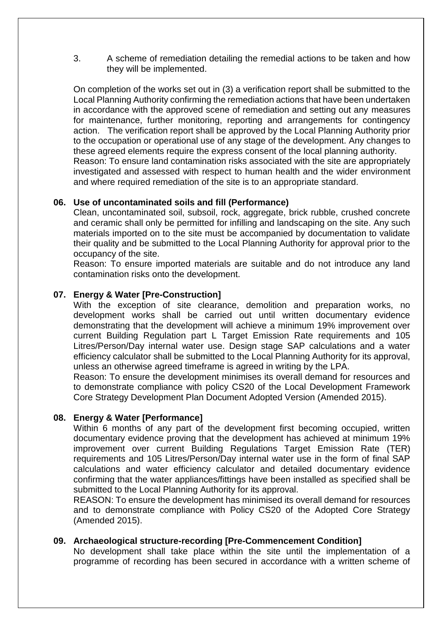3. A scheme of remediation detailing the remedial actions to be taken and how they will be implemented.

On completion of the works set out in (3) a verification report shall be submitted to the Local Planning Authority confirming the remediation actions that have been undertaken in accordance with the approved scene of remediation and setting out any measures for maintenance, further monitoring, reporting and arrangements for contingency action. The verification report shall be approved by the Local Planning Authority prior to the occupation or operational use of any stage of the development. Any changes to these agreed elements require the express consent of the local planning authority. Reason: To ensure land contamination risks associated with the site are appropriately investigated and assessed with respect to human health and the wider environment and where required remediation of the site is to an appropriate standard.

### **06. Use of uncontaminated soils and fill (Performance)**

Clean, uncontaminated soil, subsoil, rock, aggregate, brick rubble, crushed concrete and ceramic shall only be permitted for infilling and landscaping on the site. Any such materials imported on to the site must be accompanied by documentation to validate their quality and be submitted to the Local Planning Authority for approval prior to the occupancy of the site.

Reason: To ensure imported materials are suitable and do not introduce any land contamination risks onto the development.

## **07. Energy & Water [Pre-Construction]**

With the exception of site clearance, demolition and preparation works, no development works shall be carried out until written documentary evidence demonstrating that the development will achieve a minimum 19% improvement over current Building Regulation part L Target Emission Rate requirements and 105 Litres/Person/Day internal water use. Design stage SAP calculations and a water efficiency calculator shall be submitted to the Local Planning Authority for its approval, unless an otherwise agreed timeframe is agreed in writing by the LPA.

Reason: To ensure the development minimises its overall demand for resources and to demonstrate compliance with policy CS20 of the Local Development Framework Core Strategy Development Plan Document Adopted Version (Amended 2015).

### **08. Energy & Water [Performance]**

Within 6 months of any part of the development first becoming occupied, written documentary evidence proving that the development has achieved at minimum 19% improvement over current Building Regulations Target Emission Rate (TER) requirements and 105 Litres/Person/Day internal water use in the form of final SAP calculations and water efficiency calculator and detailed documentary evidence confirming that the water appliances/fittings have been installed as specified shall be submitted to the Local Planning Authority for its approval.

REASON: To ensure the development has minimised its overall demand for resources and to demonstrate compliance with Policy CS20 of the Adopted Core Strategy (Amended 2015).

### **09. Archaeological structure-recording [Pre-Commencement Condition]**

No development shall take place within the site until the implementation of a programme of recording has been secured in accordance with a written scheme of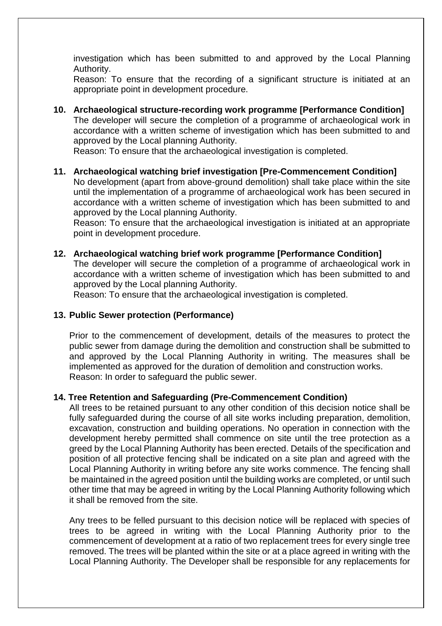investigation which has been submitted to and approved by the Local Planning Authority.

Reason: To ensure that the recording of a significant structure is initiated at an appropriate point in development procedure.

**10. Archaeological structure-recording work programme [Performance Condition]** The developer will secure the completion of a programme of archaeological work in accordance with a written scheme of investigation which has been submitted to and approved by the Local planning Authority.

Reason: To ensure that the archaeological investigation is completed.

# **11. Archaeological watching brief investigation [Pre-Commencement Condition]**

No development (apart from above-ground demolition) shall take place within the site until the implementation of a programme of archaeological work has been secured in accordance with a written scheme of investigation which has been submitted to and approved by the Local planning Authority.

Reason: To ensure that the archaeological investigation is initiated at an appropriate point in development procedure.

# **12. Archaeological watching brief work programme [Performance Condition]**

The developer will secure the completion of a programme of archaeological work in accordance with a written scheme of investigation which has been submitted to and approved by the Local planning Authority.

Reason: To ensure that the archaeological investigation is completed.

## **13. Public Sewer protection (Performance)**

Prior to the commencement of development, details of the measures to protect the public sewer from damage during the demolition and construction shall be submitted to and approved by the Local Planning Authority in writing. The measures shall be implemented as approved for the duration of demolition and construction works. Reason: In order to safeguard the public sewer.

### **14. Tree Retention and Safeguarding (Pre-Commencement Condition)**

All trees to be retained pursuant to any other condition of this decision notice shall be fully safeguarded during the course of all site works including preparation, demolition, excavation, construction and building operations. No operation in connection with the development hereby permitted shall commence on site until the tree protection as a greed by the Local Planning Authority has been erected. Details of the specification and position of all protective fencing shall be indicated on a site plan and agreed with the Local Planning Authority in writing before any site works commence. The fencing shall be maintained in the agreed position until the building works are completed, or until such other time that may be agreed in writing by the Local Planning Authority following which it shall be removed from the site.

Any trees to be felled pursuant to this decision notice will be replaced with species of trees to be agreed in writing with the Local Planning Authority prior to the commencement of development at a ratio of two replacement trees for every single tree removed. The trees will be planted within the site or at a place agreed in writing with the Local Planning Authority. The Developer shall be responsible for any replacements for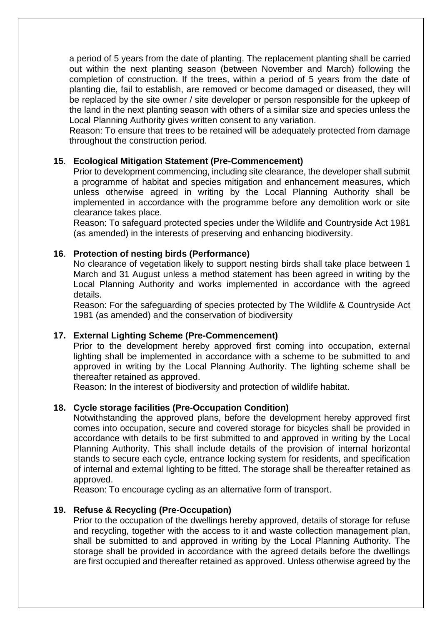a period of 5 years from the date of planting. The replacement planting shall be carried out within the next planting season (between November and March) following the completion of construction. If the trees, within a period of 5 years from the date of planting die, fail to establish, are removed or become damaged or diseased, they will be replaced by the site owner / site developer or person responsible for the upkeep of the land in the next planting season with others of a similar size and species unless the Local Planning Authority gives written consent to any variation.

Reason: To ensure that trees to be retained will be adequately protected from damage throughout the construction period.

## **15**. **Ecological Mitigation Statement (Pre-Commencement)**

Prior to development commencing, including site clearance, the developer shall submit a programme of habitat and species mitigation and enhancement measures, which unless otherwise agreed in writing by the Local Planning Authority shall be implemented in accordance with the programme before any demolition work or site clearance takes place.

Reason: To safeguard protected species under the Wildlife and Countryside Act 1981 (as amended) in the interests of preserving and enhancing biodiversity.

### **16**. **Protection of nesting birds (Performance)**

No clearance of vegetation likely to support nesting birds shall take place between 1 March and 31 August unless a method statement has been agreed in writing by the Local Planning Authority and works implemented in accordance with the agreed details.

Reason: For the safeguarding of species protected by The Wildlife & Countryside Act 1981 (as amended) and the conservation of biodiversity

### **17. External Lighting Scheme (Pre-Commencement)**

Prior to the development hereby approved first coming into occupation, external lighting shall be implemented in accordance with a scheme to be submitted to and approved in writing by the Local Planning Authority. The lighting scheme shall be thereafter retained as approved.

Reason: In the interest of biodiversity and protection of wildlife habitat.

### **18. Cycle storage facilities (Pre-Occupation Condition)**

Notwithstanding the approved plans, before the development hereby approved first comes into occupation, secure and covered storage for bicycles shall be provided in accordance with details to be first submitted to and approved in writing by the Local Planning Authority. This shall include details of the provision of internal horizontal stands to secure each cycle, entrance locking system for residents, and specification of internal and external lighting to be fitted. The storage shall be thereafter retained as approved.

Reason: To encourage cycling as an alternative form of transport.

### **19. Refuse & Recycling (Pre-Occupation)**

Prior to the occupation of the dwellings hereby approved, details of storage for refuse and recycling, together with the access to it and waste collection management plan, shall be submitted to and approved in writing by the Local Planning Authority. The storage shall be provided in accordance with the agreed details before the dwellings are first occupied and thereafter retained as approved. Unless otherwise agreed by the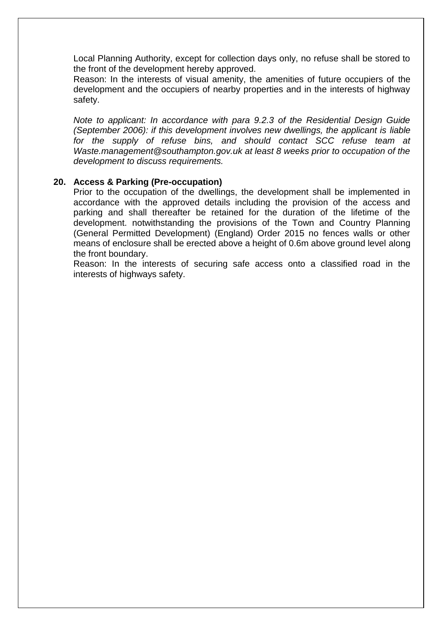Local Planning Authority, except for collection days only, no refuse shall be stored to the front of the development hereby approved.

Reason: In the interests of visual amenity, the amenities of future occupiers of the development and the occupiers of nearby properties and in the interests of highway safety.

*Note to applicant: In accordance with para 9.2.3 of the Residential Design Guide (September 2006): if this development involves new dwellings, the applicant is liable for the supply of refuse bins, and should contact SCC refuse team at Waste.management@southampton.gov.uk at least 8 weeks prior to occupation of the development to discuss requirements.*

### **20. Access & Parking (Pre-occupation)**

Prior to the occupation of the dwellings, the development shall be implemented in accordance with the approved details including the provision of the access and parking and shall thereafter be retained for the duration of the lifetime of the development. notwithstanding the provisions of the Town and Country Planning (General Permitted Development) (England) Order 2015 no fences walls or other means of enclosure shall be erected above a height of 0.6m above ground level along the front boundary.

Reason: In the interests of securing safe access onto a classified road in the interests of highways safety.